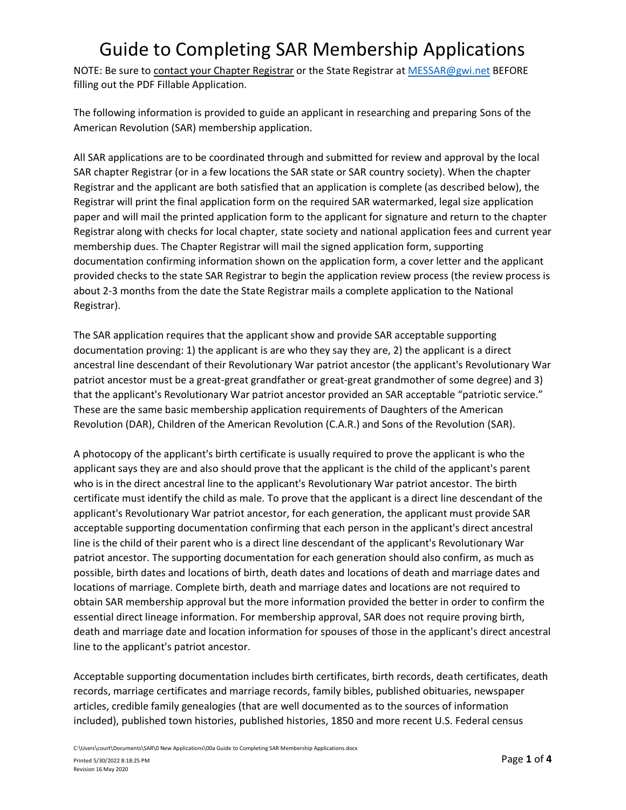NOTE: Be sure to contact your Chapter Registrar or the State Registrar at [MESSAR@gwi.net](mailto:MESSAR@gwi.net) BEFORE filling out the PDF Fillable Application.

The following information is provided to guide an applicant in researching and preparing Sons of the American Revolution (SAR) membership application.

All SAR applications are to be coordinated through and submitted for review and approval by the local SAR chapter Registrar (or in a few locations the SAR state or SAR country society). When the chapter Registrar and the applicant are both satisfied that an application is complete (as described below), the Registrar will print the final application form on the required SAR watermarked, legal size application paper and will mail the printed application form to the applicant for signature and return to the chapter Registrar along with checks for local chapter, state society and national application fees and current year membership dues. The Chapter Registrar will mail the signed application form, supporting documentation confirming information shown on the application form, a cover letter and the applicant provided checks to the state SAR Registrar to begin the application review process (the review process is about 2-3 months from the date the State Registrar mails a complete application to the National Registrar).

The SAR application requires that the applicant show and provide SAR acceptable supporting documentation proving: 1) the applicant is are who they say they are, 2) the applicant is a direct ancestral line descendant of their Revolutionary War patriot ancestor (the applicant's Revolutionary War patriot ancestor must be a great-great grandfather or great-great grandmother of some degree) and 3) that the applicant's Revolutionary War patriot ancestor provided an SAR acceptable "patriotic service." These are the same basic membership application requirements of Daughters of the American Revolution (DAR), Children of the American Revolution (C.A.R.) and Sons of the Revolution (SAR).

A photocopy of the applicant's birth certificate is usually required to prove the applicant is who the applicant says they are and also should prove that the applicant is the child of the applicant's parent who is in the direct ancestral line to the applicant's Revolutionary War patriot ancestor. The birth certificate must identify the child as male. To prove that the applicant is a direct line descendant of the applicant's Revolutionary War patriot ancestor, for each generation, the applicant must provide SAR acceptable supporting documentation confirming that each person in the applicant's direct ancestral line is the child of their parent who is a direct line descendant of the applicant's Revolutionary War patriot ancestor. The supporting documentation for each generation should also confirm, as much as possible, birth dates and locations of birth, death dates and locations of death and marriage dates and locations of marriage. Complete birth, death and marriage dates and locations are not required to obtain SAR membership approval but the more information provided the better in order to confirm the essential direct lineage information. For membership approval, SAR does not require proving birth, death and marriage date and location information for spouses of those in the applicant's direct ancestral line to the applicant's patriot ancestor.

Acceptable supporting documentation includes birth certificates, birth records, death certificates, death records, marriage certificates and marriage records, family bibles, published obituaries, newspaper articles, credible family genealogies (that are well documented as to the sources of information included), published town histories, published histories, 1850 and more recent U.S. Federal census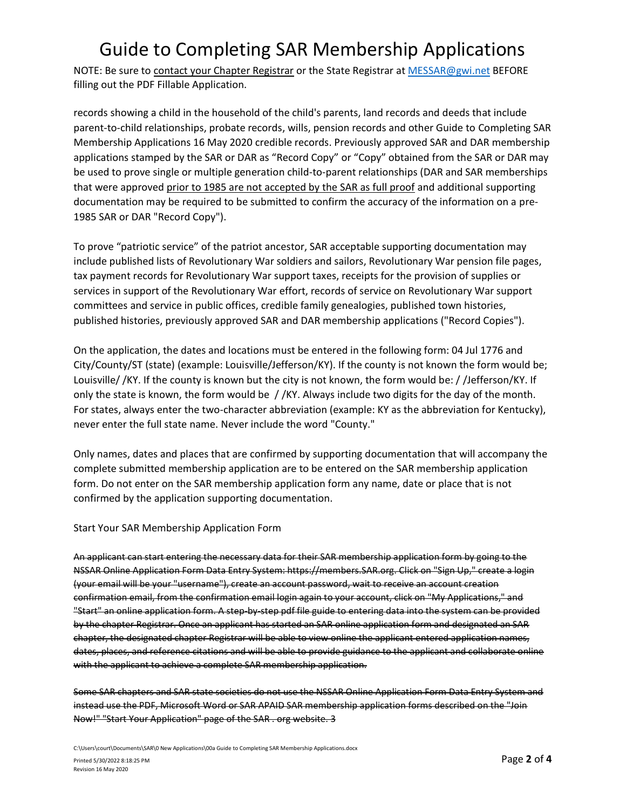NOTE: Be sure to contact your Chapter Registrar or the State Registrar at [MESSAR@gwi.net](mailto:MESSAR@gwi.net) BEFORE filling out the PDF Fillable Application.

records showing a child in the household of the child's parents, land records and deeds that include parent-to-child relationships, probate records, wills, pension records and other Guide to Completing SAR Membership Applications 16 May 2020 credible records. Previously approved SAR and DAR membership applications stamped by the SAR or DAR as "Record Copy" or "Copy" obtained from the SAR or DAR may be used to prove single or multiple generation child-to-parent relationships (DAR and SAR memberships that were approved prior to 1985 are not accepted by the SAR as full proof and additional supporting documentation may be required to be submitted to confirm the accuracy of the information on a pre-1985 SAR or DAR "Record Copy").

To prove "patriotic service" of the patriot ancestor, SAR acceptable supporting documentation may include published lists of Revolutionary War soldiers and sailors, Revolutionary War pension file pages, tax payment records for Revolutionary War support taxes, receipts for the provision of supplies or services in support of the Revolutionary War effort, records of service on Revolutionary War support committees and service in public offices, credible family genealogies, published town histories, published histories, previously approved SAR and DAR membership applications ("Record Copies").

On the application, the dates and locations must be entered in the following form: 04 Jul 1776 and City/County/ST (state) (example: Louisville/Jefferson/KY). If the county is not known the form would be; Louisville/ /KY. If the county is known but the city is not known, the form would be: / /Jefferson/KY. If only the state is known, the form would be / /KY. Always include two digits for the day of the month. For states, always enter the two-character abbreviation (example: KY as the abbreviation for Kentucky), never enter the full state name. Never include the word "County."

Only names, dates and places that are confirmed by supporting documentation that will accompany the complete submitted membership application are to be entered on the SAR membership application form. Do not enter on the SAR membership application form any name, date or place that is not confirmed by the application supporting documentation.

#### Start Your SAR Membership Application Form

An applicant can start entering the necessary data for their SAR membership application form by going to the NSSAR Online Application Form Data Entry System: https://members.SAR.org. Click on "Sign Up," create a login (your email will be your "username"), create an account password, wait to receive an account creation confirmation email, from the confirmation email login again to your account, click on "My Applications," and "Start" an online application form. A step-by-step pdf file guide to entering data into the system can be provided by the chapter Registrar. Once an applicant has started an SAR online application form and designated an SAR chapter, the designated chapter Registrar will be able to view online the applicant entered application names, dates, places, and reference citations and will be able to provide guidance to the applicant and collaborate online with the applicant to achieve a complete SAR membership application.

Some SAR chapters and SAR state societies do not use the NSSAR Online Application Form Data Entry System and instead use the PDF, Microsoft Word or SAR APAID SAR membership application forms described on the "Join Now!" "Start Your Application" page of the SAR . org website. 3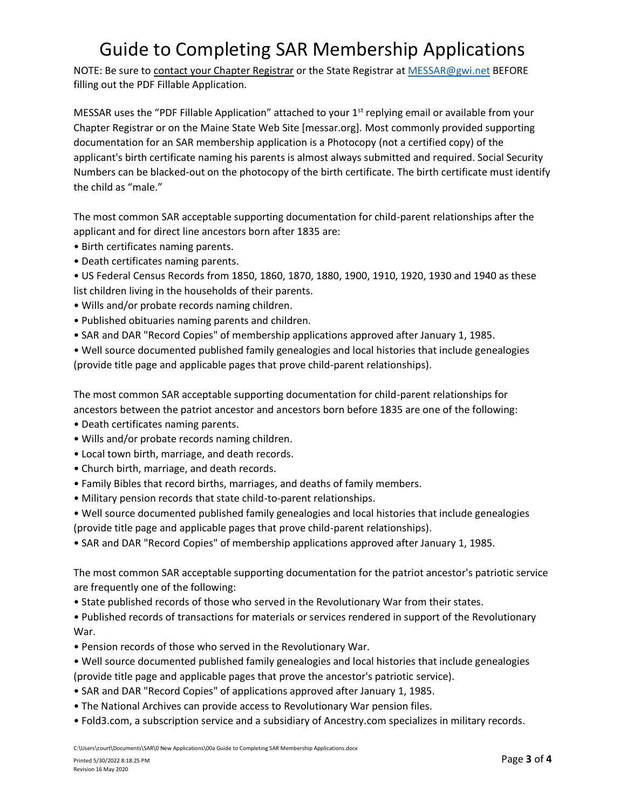NOTE: Be sure to contact your Chapter Registrar or the State Registrar at [MESSAR@gwi.net](mailto:MESSAR@gwi.net) BEFORE filling out the PDF Fillable Application.

MESSAR uses the "PDF Fillable Application" attached to your  $1<sup>st</sup>$  replying email or available from your Chapter Registrar or on the Maine State Web Site [messar.org]. Most commonly provided supporting documentation for an SAR membership application is a Photocopy (not a certified copy) of the applicant's birth certificate naming his parents is almost always submitted and required. Social Security Numbers can be blacked-out on the photocopy of the birth certificate. The birth certificate must identify the child as "male."

The most common SAR acceptable supporting documentation for child-parent relationships after the applicant and for direct line ancestors born after 1835 are:

- Birth certificates naming parents.
- Death certificates naming parents.

• US Federal Census Records from 1850, 1860, 1870, 1880, 1900, 1910, 1920, 1930 and 1940 as these list children living in the households of their parents.

- Wills and/or probate records naming children.
- Published obituaries naming parents and children.
- SAR and DAR "Record Copies" of membership applications approved after January 1, 1985.

• Well source documented published family genealogies and local histories that include genealogies (provide title page and applicable pages that prove child-parent relationships).

The most common SAR acceptable supporting documentation for child-parent relationships for ancestors between the patriot ancestor and ancestors born before 1835 are one of the following:

- Death certificates naming parents.
- Wills and/or probate records naming children.
- Local town birth, marriage, and death records.
- Church birth, marriage, and death records.
- Family Bibles that record births, marriages, and deaths of family members.
- Military pension records that state child-to-parent relationships.
- Well source documented published family genealogies and local histories that include genealogies (provide title page and applicable pages that prove child-parent relationships).

• SAR and DAR "Record Copies" of membership applications approved after January 1, 1985.

The most common SAR acceptable supporting documentation for the patriot ancestor's patriotic service are frequently one of the following:

• State published records of those who served in the Revolutionary War from their states.

• Published records of transactions for materials or services rendered in support of the Revolutionary War.

- Pension records of those who served in the Revolutionary War.
- Well source documented published family genealogies and local histories that include genealogies (provide title page and applicable pages that prove the ancestor's patriotic service).
- SAR and DAR "Record Copies" of applications approved after January 1, 1985.
- The National Archives can provide access to Revolutionary War pension files.
- Fold3.com, a subscription service and a subsidiary of Ancestry.com specializes in military records.